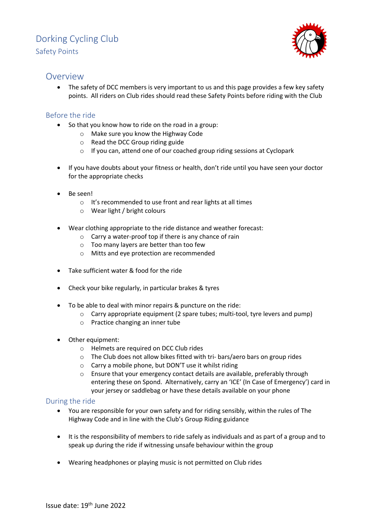# Dorking Cycling Club Safety Points



### Overview

• The safety of DCC members is very important to us and this page provides a few key safety points. All riders on Club rides should read these Safety Points before riding with the Club

### Before the ride

- So that you know how to ride on the road in a group:
	- o Make sure you know the Highway Code
	- o Read the DCC Group riding guide
	- o If you can, attend one of our coached group riding sessions at Cyclopark
- If you have doubts about your fitness or health, don't ride until you have seen your doctor for the appropriate checks
- Be seen!
	- o It's recommended to use front and rear lights at all times
	- o Wear light / bright colours
- Wear clothing appropriate to the ride distance and weather forecast:
	- o Carry a water-proof top if there is any chance of rain
	- o Too many layers are better than too few
	- o Mitts and eye protection are recommended
- Take sufficient water & food for the ride
- Check your bike regularly, in particular brakes & tyres
- To be able to deal with minor repairs & puncture on the ride:
	- o Carry appropriate equipment (2 spare tubes; multi-tool, tyre levers and pump)
	- o Practice changing an inner tube
- Other equipment:
	- o Helmets are required on DCC Club rides
	- o The Club does not allow bikes fitted with tri- bars/aero bars on group rides
	- o Carry a mobile phone, but DON'T use it whilst riding
	- o Ensure that your emergency contact details are available, preferably through entering these on Spond. Alternatively, carry an 'ICE' (In Case of Emergency') card in your jersey or saddlebag or have these details available on your phone

#### During the ride

- You are responsible for your own safety and for riding sensibly, within the rules of The Highway Code and in line with the Club's Group Riding guidance
- It is the responsibility of members to ride safely as individuals and as part of a group and to speak up during the ride if witnessing unsafe behaviour within the group
- Wearing headphones or playing music is not permitted on Club rides